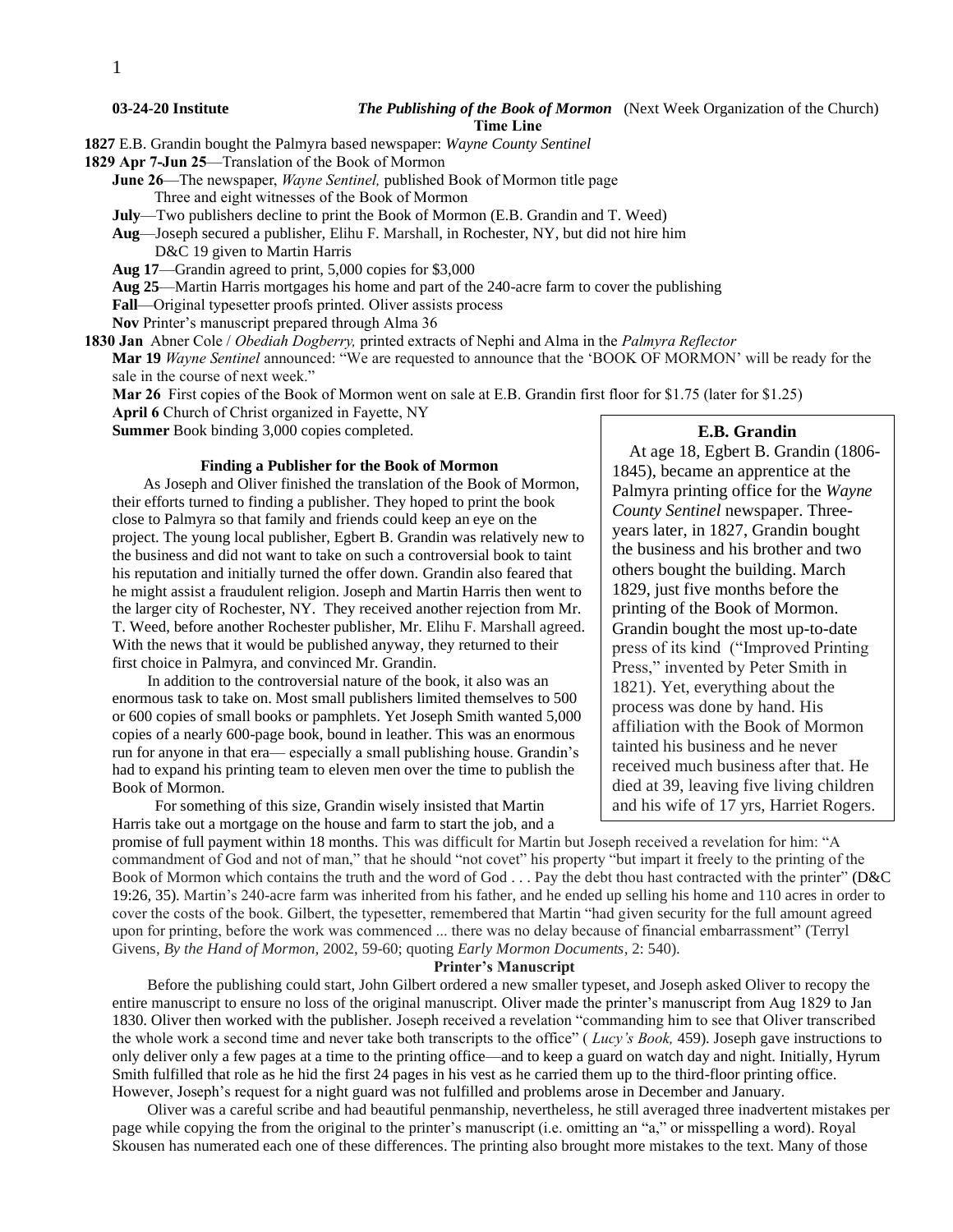#### **03-24-20 Institute** *The Publishing of the Book of Mormon*(Next Week Organization of the Church) **Time Line**

**1827** E.B. Grandin bought the Palmyra based newspaper: *Wayne County Sentinel*

**1829 Apr 7-Jun 25**—Translation of the Book of Mormon

**June 26**—The newspaper, *Wayne Sentinel,* published Book of Mormon title page Three and eight witnesses of the Book of Mormon

**July**—Two publishers decline to print the Book of Mormon (E.B. Grandin and T. Weed)

**Aug**—Joseph secured a publisher, Elihu F. Marshall, in Rochester, NY, but did not hire him D&C 19 given to Martin Harris

**Aug 17**—Grandin agreed to print, 5,000 copies for \$3,000

**Aug 25**—Martin Harris mortgages his home and part of the 240-acre farm to cover the publishing

**Fall**—Original typesetter proofs printed. Oliver assists process

**Nov** Printer's manuscript prepared through Alma 36

**1830 Jan** Abner Cole / *Obediah Dogberry,* printed extracts of Nephi and Alma in the *Palmyra Reflector*

**Mar 19** *Wayne Sentinel* announced: "We are requested to announce that the 'BOOK OF MORMON' will be ready for the sale in the course of next week."

**Mar 26** First copies of the Book of Mormon went on sale at E.B. Grandin first floor for \$1.75 (later for \$1.25)

**April 6** Church of Christ organized in Fayette, NY

**Summer** Book binding 3,000 copies completed.

#### **Finding a Publisher for the Book of Mormon**

 As Joseph and Oliver finished the translation of the Book of Mormon, their efforts turned to finding a publisher. They hoped to print the book close to Palmyra so that family and friends could keep an eye on the project. The young local publisher, Egbert B. Grandin was relatively new to the business and did not want to take on such a controversial book to taint his reputation and initially turned the offer down. Grandin also feared that he might assist a fraudulent religion. Joseph and Martin Harris then went to the larger city of Rochester, NY. They received another rejection from Mr. T. Weed, before another Rochester publisher, Mr. Elihu F. Marshall agreed. With the news that it would be published anyway, they returned to their first choice in Palmyra, and convinced Mr. Grandin.

 In addition to the controversial nature of the book, it also was an enormous task to take on. Most small publishers limited themselves to 500 or 600 copies of small books or pamphlets. Yet Joseph Smith wanted 5,000 copies of a nearly 600-page book, bound in leather. This was an enormous run for anyone in that era— especially a small publishing house. Grandin's had to expand his printing team to eleven men over the time to publish the Book of Mormon.

 For something of this size, Grandin wisely insisted that Martin Harris take out a mortgage on the house and farm to start the job, and a

# **E.B. Grandin**

 At age 18, Egbert B. Grandin (1806- 1845), became an apprentice at the Palmyra printing office for the *Wayne County Sentinel* newspaper. Threeyears later, in 1827, Grandin bought the business and his brother and two others bought the building. March 1829, just five months before the printing of the Book of Mormon. Grandin bought the most up-to-date press of its kind ("Improved Printing Press," invented by Peter Smith in 1821). Yet, everything about the process was done by hand. His affiliation with the Book of Mormon tainted his business and he never received much business after that. He died at 39, leaving five living children and his wife of 17 yrs, Harriet Rogers.

promise of full payment within 18 months. This was difficult for Martin but Joseph received a revelation for him: "A commandment of God and not of man," that he should "not covet" his property "but impart it freely to the printing of the Book of Mormon which contains the truth and the word of God . . . Pay the debt thou hast contracted with the printer" (D&C 19:26, 35). Martin's 240-acre farm was inherited from his father, and he ended up selling his home and 110 acres in order to cover the costs of the book. Gilbert, the typesetter, remembered that Martin "had given security for the full amount agreed upon for printing, before the work was commenced ... there was no delay because of financial embarrassment" (Terryl Givens, *By the Hand of Mormon,* 2002, 59-60; quoting *Early Mormon Documents*, 2: 540).

# **Printer's Manuscript**

 Before the publishing could start, John Gilbert ordered a new smaller typeset, and Joseph asked Oliver to recopy the entire manuscript to ensure no loss of the original manuscript. Oliver made the printer's manuscript from Aug 1829 to Jan 1830. Oliver then worked with the publisher. Joseph received a revelation "commanding him to see that Oliver transcribed the whole work a second time and never take both transcripts to the office" ( *Lucy's Book,* 459). Joseph gave instructions to only deliver only a few pages at a time to the printing office—and to keep a guard on watch day and night. Initially, Hyrum Smith fulfilled that role as he hid the first 24 pages in his vest as he carried them up to the third-floor printing office. However, Joseph's request for a night guard was not fulfilled and problems arose in December and January.

 Oliver was a careful scribe and had beautiful penmanship, nevertheless, he still averaged three inadvertent mistakes per page while copying the from the original to the printer's manuscript (i.e. omitting an "a," or misspelling a word). Royal Skousen has numerated each one of these differences. The printing also brought more mistakes to the text. Many of those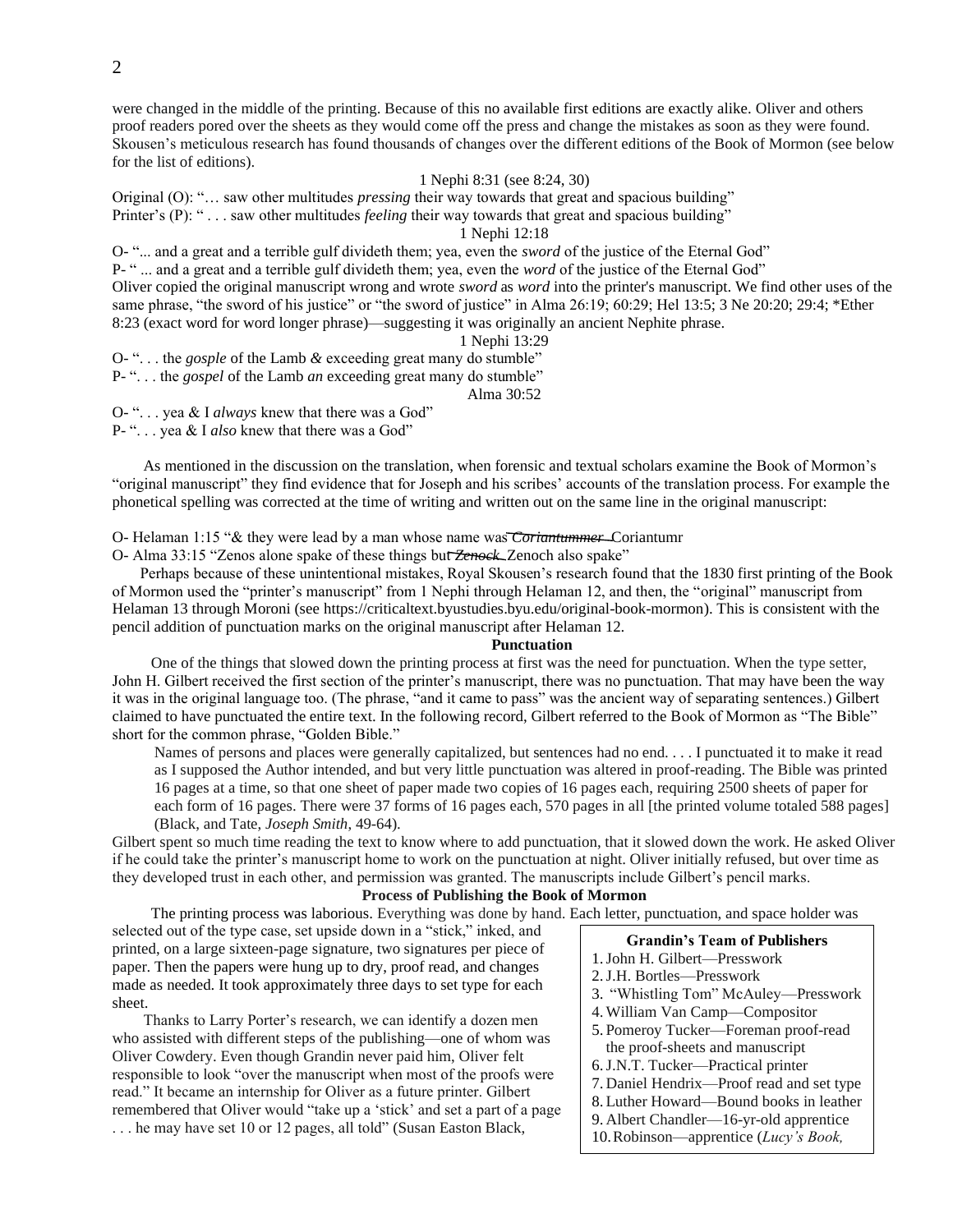were changed in the middle of the printing. Because of this no available first editions are exactly alike. Oliver and others proof readers pored over the sheets as they would come off the press and change the mistakes as soon as they were found. Skousen's meticulous research has found thousands of changes over the different editions of the Book of Mormon (see below for the list of editions).

# 1 Nephi 8:31 (see 8:24, 30)

Original (O): "… saw other multitudes *pressing* their way towards that great and spacious building"

Printer's (P): " . . . saw other multitudes *feeling* their way towards that great and spacious building"

# 1 Nephi 12:18

O- "... and a great and a terrible gulf divideth them; yea, even the *sword* of the justice of the Eternal God"

P- " ... and a great and a terrible gulf divideth them; yea, even the *word* of the justice of the Eternal God"

Oliver copied the original manuscript wrong and wrote *sword* as *word* into the printer's manuscript. We find other uses of the same phrase, "the sword of his justice" or "the sword of justice" in Alma 26:19; 60:29; Hel 13:5; 3 Ne 20:20; 29:4; \*Ether 8:23 (exact word for word longer phrase)—suggesting it was originally an ancient Nephite phrase.

#### 1 Nephi 13:29

O- ". . . the *gosple* of the Lamb *&* exceeding great many do stumble"

P- ". . . the *gospel* of the Lamb *an* exceeding great many do stumble"

Alma 30:52

O- ". . . yea & I *always* knew that there was a God"

P- ". . . yea & I *also* knew that there was a God"

 As mentioned in the discussion on the translation, when forensic and textual scholars examine the Book of Mormon's "original manuscript" they find evidence that for Joseph and his scribes' accounts of the translation process. For example the phonetical spelling was corrected at the time of writing and written out on the same line in the original manuscript:

O- Helaman 1:15 "& they were lead by a man whose name was *Coriantummer* Coriantumr

O- Alma 33:15 "Zenos alone spake of these things but *Zenock* Zenoch also spake"

Perhaps because of these unintentional mistakes, Royal Skousen's research found that the 1830 first printing of the Book of Mormon used the "printer's manuscript" from 1 Nephi through Helaman 12, and then, the "original" manuscript from Helaman 13 through Moroni (see [https://criticaltext.byustudies.byu.edu/original-book-mormon\)](https://criticaltext.byustudies.byu.edu/original-book-mormon). This is consistent with the pencil addition of punctuation marks on the original manuscript after Helaman 12.

## **Punctuation**

 One of the things that slowed down the printing process at first was the need for punctuation. When the type setter, John H. Gilbert received the first section of the printer's manuscript, there was no punctuation. That may have been the way it was in the original language too. (The phrase, "and it came to pass" was the ancient way of separating sentences.) Gilbert claimed to have punctuated the entire text. In the following record, Gilbert referred to the Book of Mormon as "The Bible" short for the common phrase, "Golden Bible."

Names of persons and places were generally capitalized, but sentences had no end. . . . I punctuated it to make it read as I supposed the Author intended, and but very little punctuation was altered in proof-reading. The Bible was printed 16 pages at a time, so that one sheet of paper made two copies of 16 pages each, requiring 2500 sheets of paper for each form of 16 pages. There were 37 forms of 16 pages each, 570 pages in all [the printed volume totaled 588 pages] (Black, and Tate, *Joseph Smith*, 49-64).

Gilbert spent so much time reading the text to know where to add punctuation, that it slowed down the work. He asked Oliver if he could take the printer's manuscript home to work on the punctuation at night. Oliver initially refused, but over time as they developed trust in each other, and permission was granted. The manuscripts include Gilbert's pencil marks.

# **Process of Publishing the Book of Mormon**

The printing process was laborious. Everything was done by hand. Each letter, punctuation, and space holder was

selected out of the type case, set upside down in a "stick," inked, and printed, on a large sixteen-page signature, two signatures per piece of paper. Then the papers were hung up to dry, proof read, and changes made as needed. It took approximately three days to set type for each sheet.

 Thanks to Larry Porter's research, we can identify a dozen men who assisted with different steps of the publishing—one of whom was Oliver Cowdery. Even though Grandin never paid him, Oliver felt responsible to look "over the manuscript when most of the proofs were read." It became an internship for Oliver as a future printer. Gilbert remembered that Oliver would "take up a 'stick' and set a part of a page . . . he may have set 10 or 12 pages, all told" (Susan Easton Black,

#### **Grandin's Team of Publishers**

- 1.John H. Gilbert—Presswork
- 2.J.H. Bortles—Presswork

460).

- 3. "Whistling Tom" McAuley—Presswork
- 4.William Van Camp—Compositor
- 5.Pomeroy Tucker—Foreman proof-read the proof-sheets and manuscript
- 6.J.N.T. Tucker—Practical printer
- 7. Daniel Hendrix—Proof read and set type
- 8. Luther Howard—Bound books in leather
- 9. Albert Chandler—16-yr-old apprentice
- 10.Robinson—apprentice (*Lucy's Book,*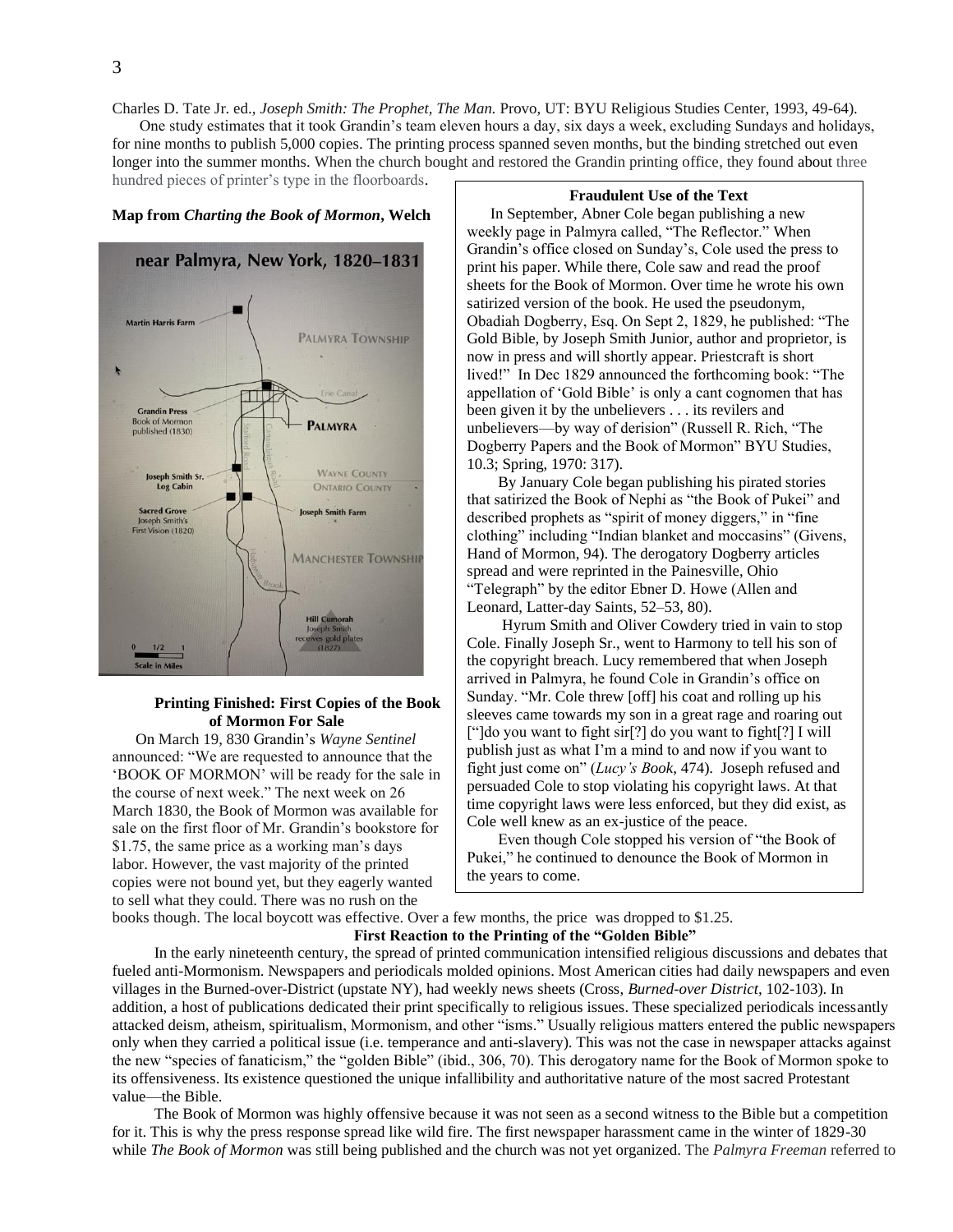Charles D. Tate Jr. ed., *Joseph Smith: The Prophet, The Man.* Provo, UT: BYU Religious Studies Center, 1993, 49-64). One study estimates that it took Grandin's team eleven hours a day, six days a week, excluding Sundays and holidays,

for nine months to publish 5,000 copies. The printing process spanned seven months, but the binding stretched out even longer into the summer months. When the church bought and restored the Grandin printing office, they found about three

hundred pieces of printer's type in the floorboards.

#### **Map from** *Charting the Book of Mormon***, Welch**



### **Printing Finished: First Copies of the Book of Mormon For Sale**

 On March 19, 830 Grandin's *Wayne Sentinel*  announced: "We are requested to announce that the 'BOOK OF MORMON' will be ready for the sale in the course of next week." The next week on 26 March 1830, the Book of Mormon was available for sale on the first floor of Mr. Grandin's bookstore for \$1.75, the same price as a working man's days labor. However, the vast majority of the printed copies were not bound yet, but they eagerly wanted to sell what they could. There was no rush on the

#### **Fraudulent Use of the Text**

 In September, Abner Cole began publishing a new weekly page in Palmyra called, "The Reflector." When Grandin's office closed on Sunday's, Cole used the press to print his paper. While there, Cole saw and read the proof sheets for the Book of Mormon. Over time he wrote his own satirized version of the book. He used the pseudonym, Obadiah Dogberry, Esq. On Sept 2, 1829, he published: "The Gold Bible, by Joseph Smith Junior, author and proprietor, is now in press and will shortly appear. Priestcraft is short lived!" In Dec 1829 announced the forthcoming book: "The appellation of 'Gold Bible' is only a cant cognomen that has been given it by the unbelievers . . . its revilers and unbelievers—by way of derision" (Russell R. Rich, "The Dogberry Papers and the Book of Mormon" BYU Studies, 10.3; Spring, 1970: 317).

 By January Cole began publishing his pirated stories that satirized the Book of Nephi as "the Book of Pukei" and described prophets as "spirit of money diggers," in "fine clothing" including "Indian blanket and moccasins" (Givens, Hand of Mormon, 94). The derogatory Dogberry articles spread and were reprinted in the Painesville, Ohio "Telegraph" by the editor Ebner D. Howe (Allen and Leonard, Latter-day Saints, 52–53, 80).

 Hyrum Smith and Oliver Cowdery tried in vain to stop Cole. Finally Joseph Sr., went to Harmony to tell his son of the copyright breach. Lucy remembered that when Joseph arrived in Palmyra, he found Cole in Grandin's office on Sunday. "Mr. Cole threw [off] his coat and rolling up his sleeves came towards my son in a great rage and roaring out ["]do you want to fight sir[?] do you want to fight[?] I will publish just as what I'm a mind to and now if you want to fight just come on" (*Lucy's Book*, 474). Joseph refused and persuaded Cole to stop violating his copyright laws. At that time copyright laws were less enforced, but they did exist, as Cole well knew as an ex-justice of the peace.

 Even though Cole stopped his version of "the Book of Pukei," he continued to denounce the Book of Mormon in the years to come.

books though. The local boycott was effective. Over a few months, the price was dropped to \$1.25. **First Reaction to the Printing of the "Golden Bible"**

In the early nineteenth century, the spread of printed communication intensified religious discussions and debates that fueled anti-Mormonism. Newspapers and periodicals molded opinions. Most American cities had daily newspapers and even villages in the Burned-over-District (upstate NY), had weekly news sheets (Cross, *Burned-over District,* 102-103). In addition, a host of publications dedicated their print specifically to religious issues. These specialized periodicals incessantly attacked deism, atheism, spiritualism, Mormonism, and other "isms." Usually religious matters entered the public newspapers only when they carried a political issue (i.e. temperance and anti-slavery). This was not the case in newspaper attacks against the new "species of fanaticism," the "golden Bible" (ibid., 306, 70). This derogatory name for the Book of Mormon spoke to its offensiveness. Its existence questioned the unique infallibility and authoritative nature of the most sacred Protestant value—the Bible.

The Book of Mormon was highly offensive because it was not seen as a second witness to the Bible but a competition for it. This is why the press response spread like wild fire. The first newspaper harassment came in the winter of 1829-30 while *The Book of Mormon* was still being published and the church was not yet organized. The *Palmyra Freeman* referred to